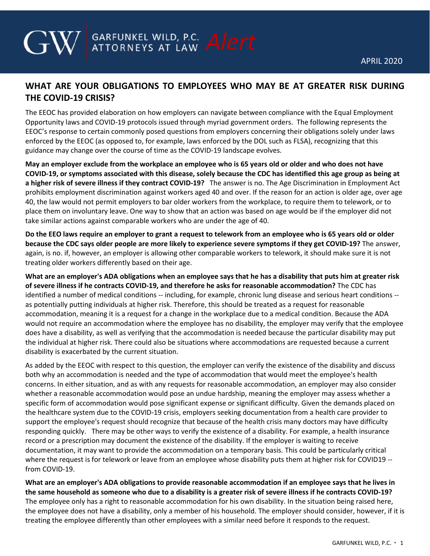## **WHAT ARE YOUR OBLIGATIONS TO EMPLOYEES WHO MAY BE AT GREATER RISK DURING THE COVID-19 CRISIS?**

**GARFUNKEL WILD, P.C. Alert** 

The EEOC has provided elaboration on how employers can navigate between compliance with the Equal Employment Opportunity laws and COVID-19 protocols issued through myriad government orders. The following represents the EEOC's response to certain commonly posed questions from employers concerning their obligations solely under laws enforced by the EEOC (as opposed to, for example, laws enforced by the DOL such as FLSA), recognizing that this guidance may change over the course of time as the COVID-19 landscape evolves.

**May an employer exclude from the workplace an employee who is 65 years old or older and who does not have COVID-19, or symptoms associated with this disease, solely because the CDC has identified this age group as being at a higher risk of severe illness if they contract COVID-19?** The answer is no. The Age Discrimination in Employment Act prohibits employment discrimination against workers aged 40 and over. If the reason for an action is older age, over age 40, the law would not permit employers to bar older workers from the workplace, to require them to telework, or to place them on involuntary leave. One way to show that an action was based on age would be if the employer did not take similar actions against comparable workers who are under the age of 40.

**Do the EEO laws require an employer to grant a request to telework from an employee who is 65 years old or older because the CDC says older people are more likely to experience severe symptoms if they get COVID-19?** The answer, again, is no. if, however, an employer is allowing other comparable workers to telework, it should make sure it is not treating older workers differently based on their age.

**What are an employer's ADA obligations when an employee says that he has a disability that puts him at greater risk of severe illness if he contracts COVID-19, and therefore he asks for reasonable accommodation?** The CDC has identified a number of medical conditions -- including, for example, chronic lung disease and serious heart conditions - as potentially putting individuals at higher risk. Therefore, this should be treated as a request for reasonable accommodation, meaning it is a request for a change in the workplace due to a medical condition. Because the ADA would not require an accommodation where the employee has no disability, the employer may verify that the employee does have a disability, as well as verifying that the accommodation is needed because the particular disability may put the individual at higher risk. There could also be situations where accommodations are requested because a current disability is exacerbated by the current situation.

As added by the EEOC with respect to this question, the employer can verify the existence of the disability and discuss both why an accommodation is needed and the type of accommodation that would meet the employee's health concerns. In either situation, and as with any requests for reasonable accommodation, an employer may also consider whether a reasonable accommodation would pose an undue hardship, meaning the employer may assess whether a specific form of accommodation would pose significant expense or significant difficulty. Given the demands placed on the healthcare system due to the COVID-19 crisis, employers seeking documentation from a health care provider to support the employee's request should recognize that because of the health crisis many doctors may have difficulty responding quickly. There may be other ways to verify the existence of a disability. For example, a health insurance record or a prescription may document the existence of the disability. If the employer is waiting to receive documentation, it may want to provide the accommodation on a temporary basis. This could be particularly critical where the request is for telework or leave from an employee whose disability puts them at higher risk for COVID19 - from COVID-19.

**What are an employer's ADA obligations to provide reasonable accommodation if an employee says that he lives in the same household as someone who due to a disability is a greater risk of severe illness if he contracts COVID-19?** The employee only has a right to reasonable accommodation for his own disability. In the situation being raised here, the employee does not have a disability, only a member of his household. The employer should consider, however, if it is treating the employee differently than other employees with a similar need before it responds to the request.